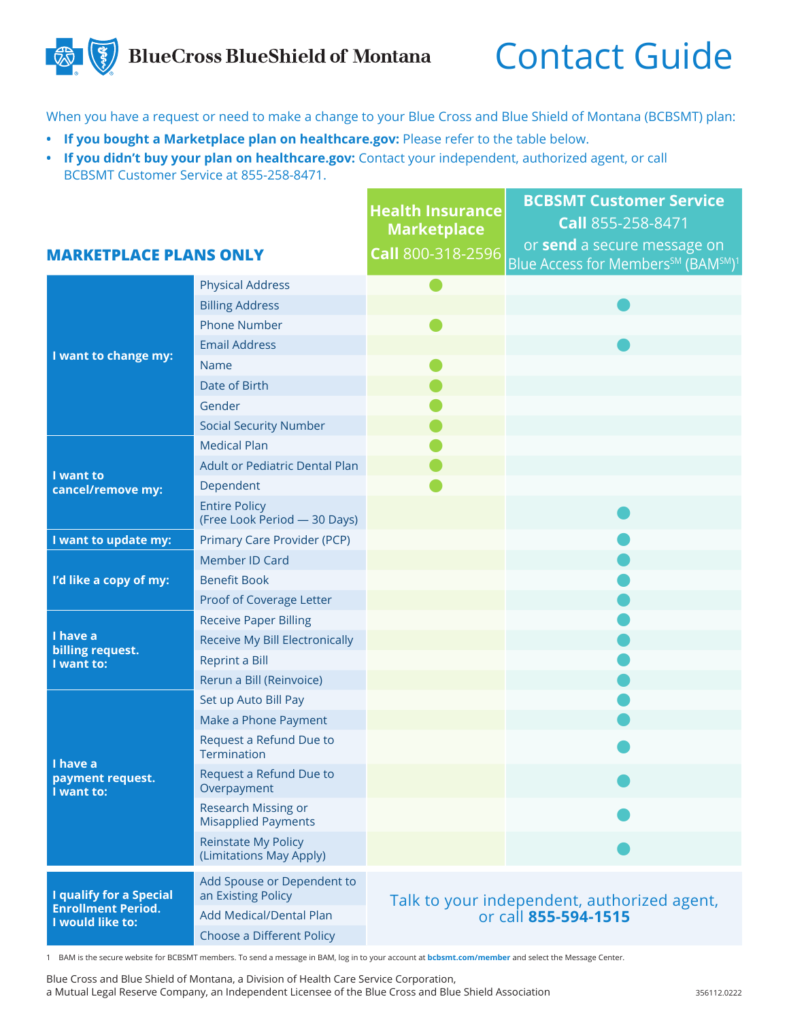## **BlueCross BlueShield of Montana**

## Contact Guide

When you have a request or need to make a change to your Blue Cross and Blue Shield of Montana (BCBSMT) plan:

- **• If you bought a Marketplace plan on healthcare.gov:** Please refer to the table below.
- **• If you didn't buy your plan on healthcare.gov:** Contact your independent, authorized agent, or call BCBSMT Customer Service at 855-258-8471.

|                                                                                 |                                                       | <b>Health Insurance</b><br><b>Marketplace</b>                       | <b>BCBSMT Customer Service</b><br>Call 855-258-8471<br>or send a secure message on |
|---------------------------------------------------------------------------------|-------------------------------------------------------|---------------------------------------------------------------------|------------------------------------------------------------------------------------|
| <b>MARKETPLACE PLANS ONLY</b>                                                   |                                                       | Call 800-318-2596                                                   | Blue Access for Members <sup>SM</sup> (BAM <sup>SM)1</sup>                         |
| I want to change my:                                                            | <b>Physical Address</b>                               |                                                                     |                                                                                    |
|                                                                                 | <b>Billing Address</b>                                |                                                                     |                                                                                    |
|                                                                                 | <b>Phone Number</b>                                   |                                                                     |                                                                                    |
|                                                                                 | <b>Email Address</b>                                  |                                                                     |                                                                                    |
|                                                                                 | Name                                                  |                                                                     |                                                                                    |
|                                                                                 | Date of Birth                                         |                                                                     |                                                                                    |
|                                                                                 | Gender                                                |                                                                     |                                                                                    |
|                                                                                 | <b>Social Security Number</b>                         |                                                                     |                                                                                    |
| I want to<br>cancel/remove my:                                                  | <b>Medical Plan</b>                                   |                                                                     |                                                                                    |
|                                                                                 | <b>Adult or Pediatric Dental Plan</b>                 |                                                                     |                                                                                    |
|                                                                                 | Dependent                                             |                                                                     |                                                                                    |
|                                                                                 | <b>Entire Policy</b><br>(Free Look Period - 30 Days)  |                                                                     |                                                                                    |
| I want to update my:                                                            | Primary Care Provider (PCP)                           |                                                                     |                                                                                    |
| I'd like a copy of my:                                                          | Member ID Card                                        |                                                                     |                                                                                    |
|                                                                                 | <b>Benefit Book</b>                                   |                                                                     |                                                                                    |
|                                                                                 | Proof of Coverage Letter                              |                                                                     |                                                                                    |
| I have a<br>billing request.<br>I want to:                                      | <b>Receive Paper Billing</b>                          |                                                                     |                                                                                    |
|                                                                                 | Receive My Bill Electronically                        |                                                                     |                                                                                    |
|                                                                                 | <b>Reprint a Bill</b>                                 |                                                                     |                                                                                    |
|                                                                                 | Rerun a Bill (Reinvoice)                              |                                                                     |                                                                                    |
| I have a<br>payment request.<br>I want to:                                      | Set up Auto Bill Pay                                  |                                                                     |                                                                                    |
|                                                                                 | Make a Phone Payment                                  |                                                                     |                                                                                    |
|                                                                                 | Request a Refund Due to<br>Termination                |                                                                     |                                                                                    |
|                                                                                 | Request a Refund Due to<br>Overpayment                |                                                                     |                                                                                    |
|                                                                                 | Research Missing or<br><b>Misapplied Payments</b>     |                                                                     |                                                                                    |
|                                                                                 | <b>Reinstate My Policy</b><br>(Limitations May Apply) |                                                                     |                                                                                    |
| <b>I qualify for a Special</b><br><b>Enrollment Period.</b><br>I would like to: | Add Spouse or Dependent to<br>an Existing Policy      | Talk to your independent, authorized agent,<br>or call 855-594-1515 |                                                                                    |
|                                                                                 | Add Medical/Dental Plan                               |                                                                     |                                                                                    |
|                                                                                 | Choose a Different Policy                             |                                                                     |                                                                                    |
|                                                                                 |                                                       |                                                                     |                                                                                    |

1 BAM is the secure website for BCBSMT members. To send a message in BAM, log in to your account at **bcbsmt.com/member** and select the Message Center.

Blue Cross and Blue Shield of Montana, a Division of Health Care Service Corporation, a Mutual Legal Reserve Company, an Independent Licensee of the Blue Cross and Blue Shield Association 356112.0222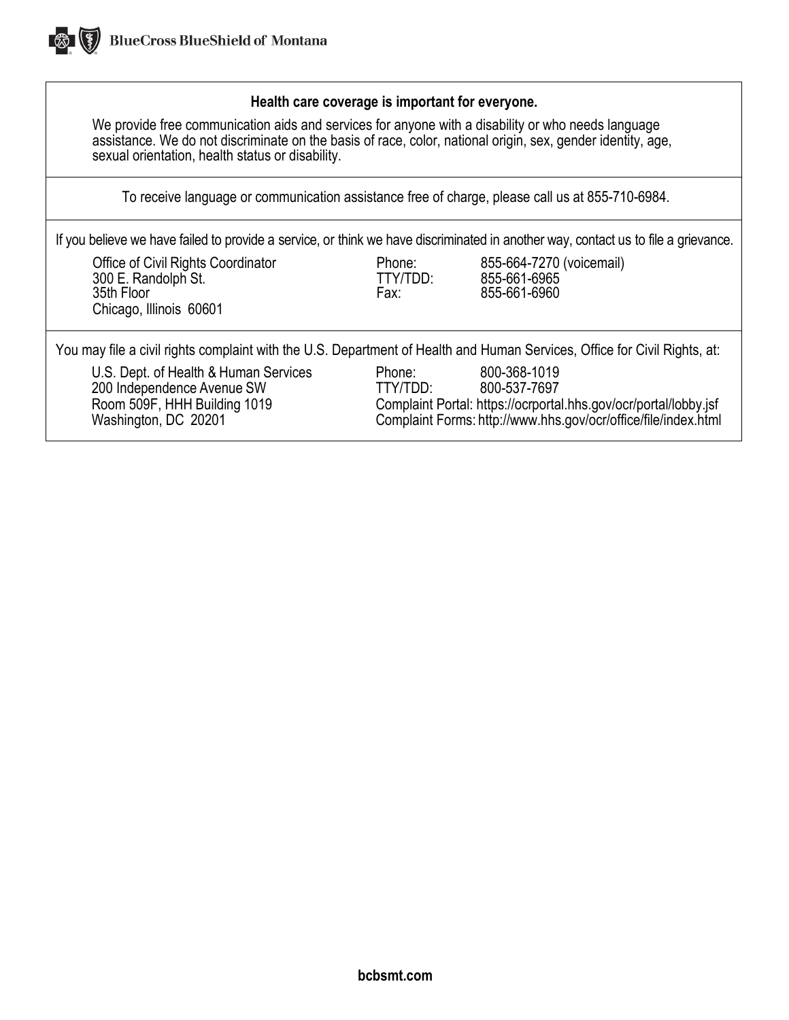

## **Health care coverage is important for everyone.**

We provide free communication aids and services for anyone with a disability or who needs language assistance. We do not discriminate on the basis of race, color, national origin, sex, gender identity, age, sexual orientation, health status or disability.

To receive language or communication assistance free of charge, please call us at 855-710-6984.

If you believe we have failed to provide a service, or think we have discriminated in another way, contact us to file a grievance.

Office of Civil Rights Coordinator **Phone:** 855-664-7270 (voicemail)<br>300 E. Randolph St. **Phone:** TTY/TDD: 855-661-6965 300 E. Randolph St. TTY/TDD: 855-661-6965 35th Floor Fax: 855-661-6960 Chicago, Illinois 60601

You may file a civil rights complaint with the U.S. Department of Health and Human Services, Office for Civil Rights, at:

U.S. Dept. of Health & Human Services Phone: 800-368-1019<br>100 Independence Avenue SW TTY/TDD: 800-537-7697 200 Independence Avenue SW TTY/TDD:<br>Room 509F, HHH Building 1019 Complaint

Room 509F, HHH Building 1019 Complaint Portal: https://ocrportal.hhs.gov/ocr/portal/lobby.jsf<br>Washington, DC 20201 Complaint Forms: http://www.hhs.gov/ocr/office/file/index.html Complaint Forms: http:/[/www.hhs.gov/ocr/office/file/index.html](http://www.hhs.gov/ocr/office/file/index.html)